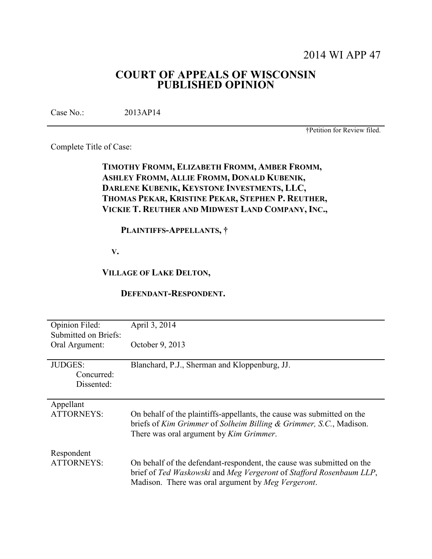# 2014 WI APP 47

# **COURT OF APPEALS OF WISCONSIN PUBLISHED OPINION**

Case No.: 2013AP14

†Petition for Review filed.

Complete Title of Case:

# **TIMOTHY FROMM, ELIZABETH FROMM, AMBER FROMM, ASHLEY FROMM, ALLIE FROMM, DONALD KUBENIK, DARLENE KUBENIK, KEYSTONE INVESTMENTS, LLC, THOMAS PEKAR, KRISTINE PEKAR, STEPHEN P. REUTHER, VICKIE T. REUTHER AND MIDWEST LAND COMPANY, INC.,**

# **PLAINTIFFS-APPELLANTS, †**

 **V.** 

# **VILLAGE OF LAKE DELTON,**

### **DEFENDANT-RESPONDENT.**

| Opinion Filed:<br>Submitted on Briefs:     | April 3, 2014                                                                                                                                                                                      |
|--------------------------------------------|----------------------------------------------------------------------------------------------------------------------------------------------------------------------------------------------------|
| Oral Argument:                             | October 9, 2013                                                                                                                                                                                    |
| <b>JUDGES:</b><br>Concurred:<br>Dissented: | Blanchard, P.J., Sherman and Kloppenburg, JJ.                                                                                                                                                      |
| Appellant<br><b>ATTORNEYS:</b>             | On behalf of the plaintiffs-appellants, the cause was submitted on the<br>briefs of Kim Grimmer of Solheim Billing & Grimmer, S.C., Madison.<br>There was oral argument by <i>Kim Grimmer</i> .    |
| Respondent<br><b>ATTORNEYS:</b>            | On behalf of the defendant-respondent, the cause was submitted on the<br>brief of Ted Waskowski and Meg Vergeront of Stafford Rosenbaum LLP,<br>Madison. There was oral argument by Meg Vergeront. |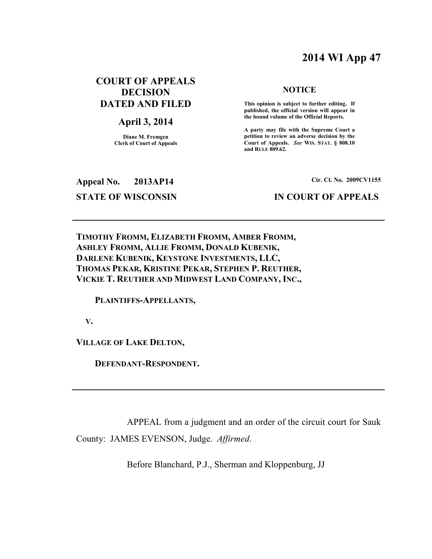# **2014 WI App 47**

# **COURT OF APPEALS DECISION DATED AND FILED**

# **April 3, 2014**

**Diane M. Fremgen Clerk of Court of Appeals** 

#### **NOTICE**

 **This opinion is subject to further editing. If published, the official version will appear in the bound volume of the Official Reports.** 

**A party may file with the Supreme Court a petition to review an adverse decision by the Court of Appeals.** *See* **WIS. STAT. § 808.10 and RULE 809.62.** 

**Appeal No. 2013AP14 Cir. Ct. No. 2009CV1155**

# **STATE OF WISCONSIN IN COURT OF APPEALS**

**TIMOTHY FROMM, ELIZABETH FROMM, AMBER FROMM, ASHLEY FROMM, ALLIE FROMM, DONALD KUBENIK, DARLENE KUBENIK, KEYSTONE INVESTMENTS, LLC, THOMAS PEKAR, KRISTINE PEKAR, STEPHEN P. REUTHER, VICKIE T. REUTHER AND MIDWEST LAND COMPANY, INC.,** 

 **PLAINTIFFS-APPELLANTS,** 

 **V.** 

**VILLAGE OF LAKE DELTON,** 

 **DEFENDANT-RESPONDENT.** 

 APPEAL from a judgment and an order of the circuit court for Sauk County: JAMES EVENSON, Judge. *Affirmed*.

Before Blanchard, P.J., Sherman and Kloppenburg, JJ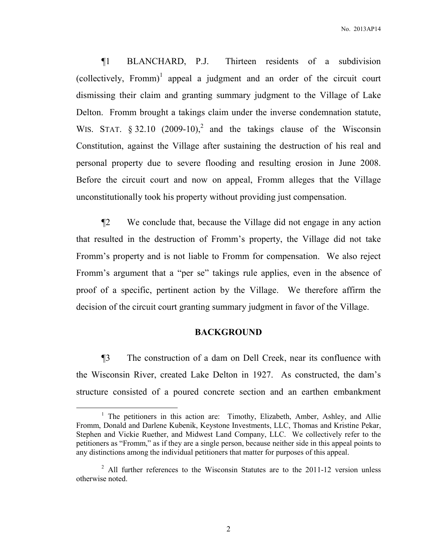¶1 BLANCHARD, P.J. Thirteen residents of a subdivision  $(collectively, Fromm)<sup>1</sup>$  appeal a judgment and an order of the circuit court dismissing their claim and granting summary judgment to the Village of Lake Delton. Fromm brought a takings claim under the inverse condemnation statute, WIS. STAT.  $\S 32.10$  (2009-10),<sup>2</sup> and the takings clause of the Wisconsin Constitution, against the Village after sustaining the destruction of his real and personal property due to severe flooding and resulting erosion in June 2008. Before the circuit court and now on appeal, Fromm alleges that the Village unconstitutionally took his property without providing just compensation.

¶2 We conclude that, because the Village did not engage in any action that resulted in the destruction of Fromm's property, the Village did not take Fromm's property and is not liable to Fromm for compensation. We also reject Fromm's argument that a "per se" takings rule applies, even in the absence of proof of a specific, pertinent action by the Village. We therefore affirm the decision of the circuit court granting summary judgment in favor of the Village.

## **BACKGROUND**

¶3 The construction of a dam on Dell Creek, near its confluence with the Wisconsin River, created Lake Delton in 1927. As constructed, the dam's structure consisted of a poured concrete section and an earthen embankment

<sup>&</sup>lt;sup>1</sup> The petitioners in this action are: Timothy, Elizabeth, Amber, Ashley, and Allie Fromm, Donald and Darlene Kubenik, Keystone Investments, LLC, Thomas and Kristine Pekar, Stephen and Vickie Ruether, and Midwest Land Company, LLC. We collectively refer to the petitioners as "Fromm," as if they are a single person, because neither side in this appeal points to any distinctions among the individual petitioners that matter for purposes of this appeal.

<sup>&</sup>lt;sup>2</sup> All further references to the Wisconsin Statutes are to the 2011-12 version unless otherwise noted.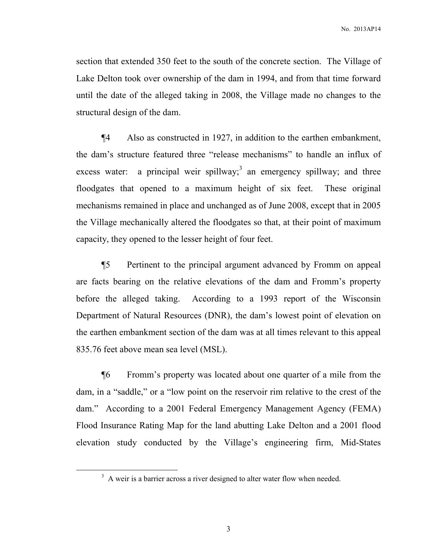section that extended 350 feet to the south of the concrete section. The Village of Lake Delton took over ownership of the dam in 1994, and from that time forward until the date of the alleged taking in 2008, the Village made no changes to the structural design of the dam.

¶4 Also as constructed in 1927, in addition to the earthen embankment, the dam's structure featured three "release mechanisms" to handle an influx of excess water: a principal weir spillway;<sup>3</sup> an emergency spillway; and three floodgates that opened to a maximum height of six feet. These original mechanisms remained in place and unchanged as of June 2008, except that in 2005 the Village mechanically altered the floodgates so that, at their point of maximum capacity, they opened to the lesser height of four feet.

¶5 Pertinent to the principal argument advanced by Fromm on appeal are facts bearing on the relative elevations of the dam and Fromm's property before the alleged taking. According to a 1993 report of the Wisconsin Department of Natural Resources (DNR), the dam's lowest point of elevation on the earthen embankment section of the dam was at all times relevant to this appeal 835.76 feet above mean sea level (MSL).

¶6 Fromm's property was located about one quarter of a mile from the dam, in a "saddle," or a "low point on the reservoir rim relative to the crest of the dam." According to a 2001 Federal Emergency Management Agency (FEMA) Flood Insurance Rating Map for the land abutting Lake Delton and a 2001 flood elevation study conducted by the Village's engineering firm, Mid-States

 $3$  A weir is a barrier across a river designed to alter water flow when needed.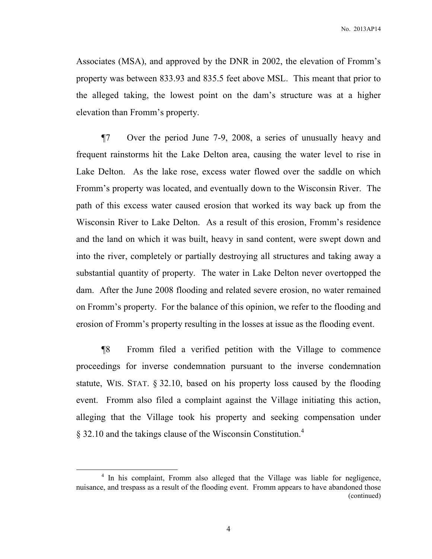Associates (MSA), and approved by the DNR in 2002, the elevation of Fromm's property was between 833.93 and 835.5 feet above MSL. This meant that prior to the alleged taking, the lowest point on the dam's structure was at a higher elevation than Fromm's property.

¶7 Over the period June 7-9, 2008, a series of unusually heavy and frequent rainstorms hit the Lake Delton area, causing the water level to rise in Lake Delton. As the lake rose, excess water flowed over the saddle on which Fromm's property was located, and eventually down to the Wisconsin River. The path of this excess water caused erosion that worked its way back up from the Wisconsin River to Lake Delton. As a result of this erosion, Fromm's residence and the land on which it was built, heavy in sand content, were swept down and into the river, completely or partially destroying all structures and taking away a substantial quantity of property. The water in Lake Delton never overtopped the dam. After the June 2008 flooding and related severe erosion, no water remained on Fromm's property. For the balance of this opinion, we refer to the flooding and erosion of Fromm's property resulting in the losses at issue as the flooding event.

¶8 Fromm filed a verified petition with the Village to commence proceedings for inverse condemnation pursuant to the inverse condemnation statute, WIS. STAT. § 32.10, based on his property loss caused by the flooding event. Fromm also filed a complaint against the Village initiating this action, alleging that the Village took his property and seeking compensation under § 32.10 and the takings clause of the Wisconsin Constitution.<sup>4</sup>

<sup>&</sup>lt;sup>4</sup> In his complaint, Fromm also alleged that the Village was liable for negligence, nuisance, and trespass as a result of the flooding event. Fromm appears to have abandoned those (continued)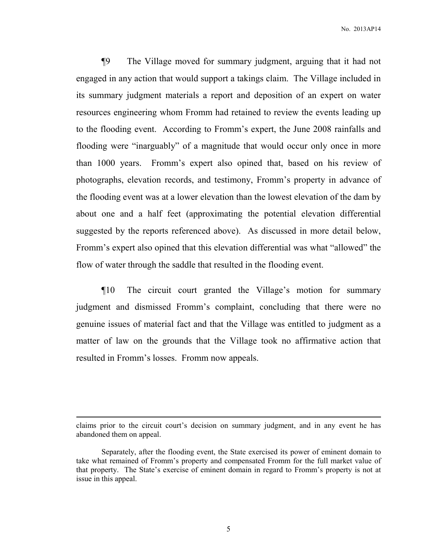¶9 The Village moved for summary judgment, arguing that it had not engaged in any action that would support a takings claim. The Village included in its summary judgment materials a report and deposition of an expert on water resources engineering whom Fromm had retained to review the events leading up to the flooding event. According to Fromm's expert, the June 2008 rainfalls and flooding were "inarguably" of a magnitude that would occur only once in more than 1000 years. Fromm's expert also opined that, based on his review of photographs, elevation records, and testimony, Fromm's property in advance of the flooding event was at a lower elevation than the lowest elevation of the dam by about one and a half feet (approximating the potential elevation differential suggested by the reports referenced above). As discussed in more detail below, Fromm's expert also opined that this elevation differential was what "allowed" the flow of water through the saddle that resulted in the flooding event.

¶10 The circuit court granted the Village's motion for summary judgment and dismissed Fromm's complaint, concluding that there were no genuine issues of material fact and that the Village was entitled to judgment as a matter of law on the grounds that the Village took no affirmative action that resulted in Fromm's losses. Fromm now appeals.

claims prior to the circuit court's decision on summary judgment, and in any event he has abandoned them on appeal.

Separately, after the flooding event, the State exercised its power of eminent domain to take what remained of Fromm's property and compensated Fromm for the full market value of that property. The State's exercise of eminent domain in regard to Fromm's property is not at issue in this appeal.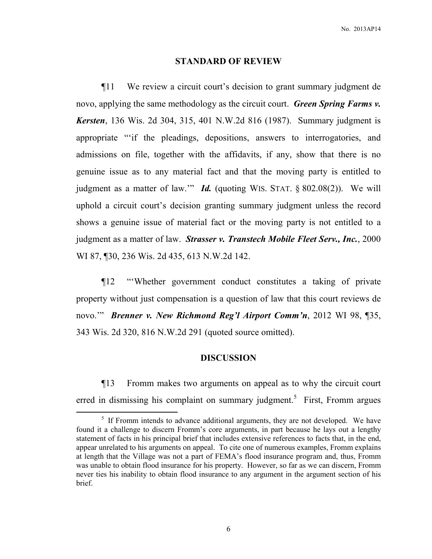#### **STANDARD OF REVIEW**

¶11 We review a circuit court's decision to grant summary judgment de novo, applying the same methodology as the circuit court. *Green Spring Farms v. Kersten*, 136 Wis. 2d 304, 315, 401 N.W.2d 816 (1987). Summary judgment is appropriate "'if the pleadings, depositions, answers to interrogatories, and admissions on file, together with the affidavits, if any, show that there is no genuine issue as to any material fact and that the moving party is entitled to judgment as a matter of law.'" *Id.* (quoting WIS. STAT. § 802.08(2)). We will uphold a circuit court's decision granting summary judgment unless the record shows a genuine issue of material fact or the moving party is not entitled to a judgment as a matter of law. *Strasser v. Transtech Mobile Fleet Serv., Inc.*, 2000 WI 87, ¶30, 236 Wis. 2d 435, 613 N.W.2d 142.

¶12 "'Whether government conduct constitutes a taking of private property without just compensation is a question of law that this court reviews de novo.'" *Brenner v. New Richmond Reg'l Airport Comm'n*, 2012 WI 98, ¶35, 343 Wis. 2d 320, 816 N.W.2d 291 (quoted source omitted).

## **DISCUSSION**

¶13 Fromm makes two arguments on appeal as to why the circuit court erred in dismissing his complaint on summary judgment.<sup>5</sup> First, Fromm argues

<sup>&</sup>lt;sup>5</sup> If Fromm intends to advance additional arguments, they are not developed. We have found it a challenge to discern Fromm's core arguments, in part because he lays out a lengthy statement of facts in his principal brief that includes extensive references to facts that, in the end, appear unrelated to his arguments on appeal. To cite one of numerous examples, Fromm explains at length that the Village was not a part of FEMA's flood insurance program and, thus, Fromm was unable to obtain flood insurance for his property. However, so far as we can discern, Fromm never ties his inability to obtain flood insurance to any argument in the argument section of his brief.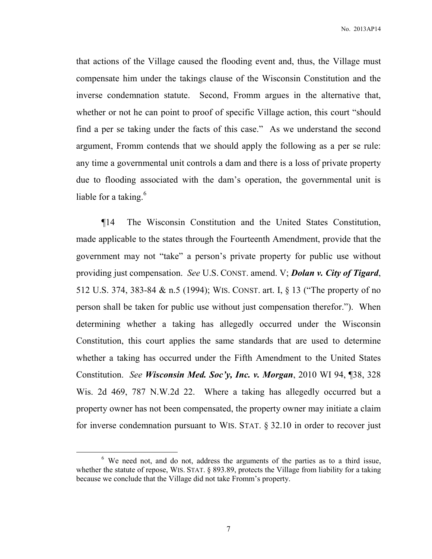that actions of the Village caused the flooding event and, thus, the Village must compensate him under the takings clause of the Wisconsin Constitution and the inverse condemnation statute. Second, Fromm argues in the alternative that, whether or not he can point to proof of specific Village action, this court "should find a per se taking under the facts of this case." As we understand the second argument, Fromm contends that we should apply the following as a per se rule: any time a governmental unit controls a dam and there is a loss of private property due to flooding associated with the dam's operation, the governmental unit is liable for a taking.<sup>6</sup>

¶14 The Wisconsin Constitution and the United States Constitution, made applicable to the states through the Fourteenth Amendment, provide that the government may not "take" a person's private property for public use without providing just compensation. *See* U.S. CONST. amend. V; *Dolan v. City of Tigard*, 512 U.S. 374, 383-84 & n.5 (1994); WIS. CONST. art. I, § 13 ("The property of no person shall be taken for public use without just compensation therefor."). When determining whether a taking has allegedly occurred under the Wisconsin Constitution, this court applies the same standards that are used to determine whether a taking has occurred under the Fifth Amendment to the United States Constitution. *See Wisconsin Med. Soc'y, Inc. v. Morgan*, 2010 WI 94, ¶38, 328 Wis. 2d 469, 787 N.W.2d 22. Where a taking has allegedly occurred but a property owner has not been compensated, the property owner may initiate a claim for inverse condemnation pursuant to WIS. STAT. § 32.10 in order to recover just

<sup>&</sup>lt;sup>6</sup> We need not, and do not, address the arguments of the parties as to a third issue, whether the statute of repose, WIS. STAT. § 893.89, protects the Village from liability for a taking because we conclude that the Village did not take Fromm's property.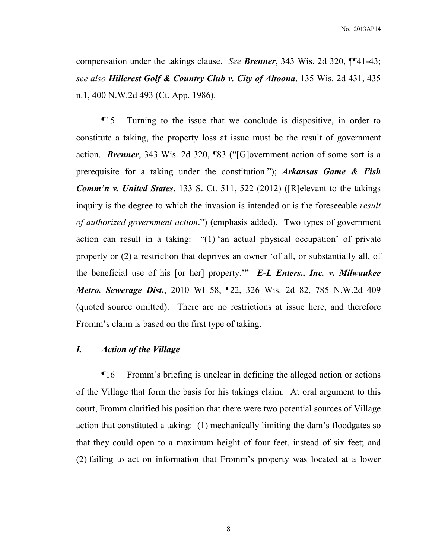compensation under the takings clause. *See Brenner*, 343 Wis. 2d 320, ¶¶41-43; *see also Hillcrest Golf & Country Club v. City of Altoona*, 135 Wis. 2d 431, 435 n.1, 400 N.W.2d 493 (Ct. App. 1986).

¶15 Turning to the issue that we conclude is dispositive, in order to constitute a taking, the property loss at issue must be the result of government action. *Brenner*, 343 Wis. 2d 320, ¶83 ("[G]overnment action of some sort is a prerequisite for a taking under the constitution."); *Arkansas Game & Fish Comm'n v. United States*, 133 S. Ct. 511, 522 (2012) ([R]elevant to the takings inquiry is the degree to which the invasion is intended or is the foreseeable *result of authorized government action*.") (emphasis added). Two types of government action can result in a taking: "(1) 'an actual physical occupation' of private property or (2) a restriction that deprives an owner 'of all, or substantially all, of the beneficial use of his [or her] property.'" *E-L Enters., Inc. v. Milwaukee Metro. Sewerage Dist.*, 2010 WI 58, ¶22, 326 Wis. 2d 82, 785 N.W.2d 409 (quoted source omitted). There are no restrictions at issue here, and therefore Fromm's claim is based on the first type of taking.

# *I. Action of the Village*

¶16 Fromm's briefing is unclear in defining the alleged action or actions of the Village that form the basis for his takings claim. At oral argument to this court, Fromm clarified his position that there were two potential sources of Village action that constituted a taking: (1) mechanically limiting the dam's floodgates so that they could open to a maximum height of four feet, instead of six feet; and (2) failing to act on information that Fromm's property was located at a lower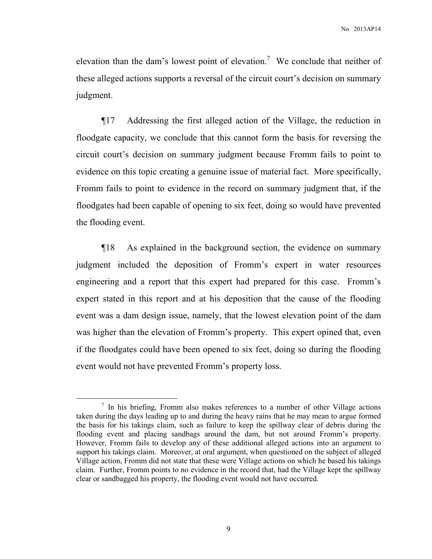elevation than the dam's lowest point of elevation.<sup>7</sup> We conclude that neither of these alleged actions supports a reversal of the circuit court's decision on summary judgment.

¶17 Addressing the first alleged action of the Village, the reduction in floodgate capacity, we conclude that this cannot form the basis for reversing the circuit court's decision on summary judgment because Fromm fails to point to evidence on this topic creating a genuine issue of material fact. More specifically, Fromm fails to point to evidence in the record on summary judgment that, if the floodgates had been capable of opening to six feet, doing so would have prevented the flooding event.

¶18 As explained in the background section, the evidence on summary judgment included the deposition of Fromm's expert in water resources engineering and a report that this expert had prepared for this case. Fromm's expert stated in this report and at his deposition that the cause of the flooding event was a dam design issue, namely, that the lowest elevation point of the dam was higher than the elevation of Fromm's property. This expert opined that, even if the floodgates could have been opened to six feet, doing so during the flooding event would not have prevented Fromm's property loss.

<sup>&</sup>lt;sup>7</sup> In his briefing, Fromm also makes references to a number of other Village actions taken during the days leading up to and during the heavy rains that he may mean to argue formed the basis for his takings claim, such as failure to keep the spillway clear of debris during the flooding event and placing sandbags around the dam, but not around Fromm's property. However, Fromm fails to develop any of these additional alleged actions into an argument to support his takings claim. Moreover, at oral argument, when questioned on the subject of alleged Village action, Fromm did not state that these were Village actions on which he based his takings claim. Further, Fromm points to no evidence in the record that, had the Village kept the spillway clear or sandbagged his property, the flooding event would not have occurred.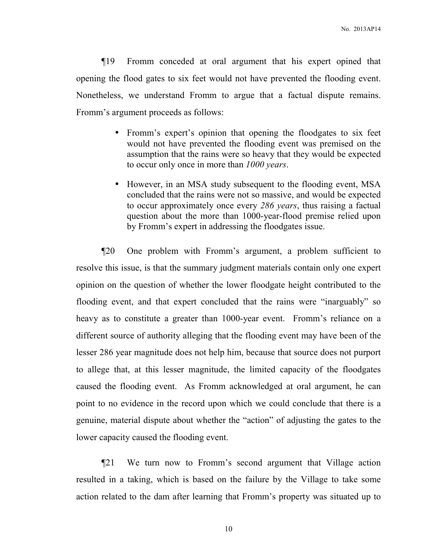¶19 Fromm conceded at oral argument that his expert opined that opening the flood gates to six feet would not have prevented the flooding event. Nonetheless, we understand Fromm to argue that a factual dispute remains. Fromm's argument proceeds as follows:

- Fromm's expert's opinion that opening the floodgates to six feet would not have prevented the flooding event was premised on the assumption that the rains were so heavy that they would be expected to occur only once in more than *1000 years*.
- However, in an MSA study subsequent to the flooding event, MSA concluded that the rains were not so massive, and would be expected to occur approximately once every *286 years*, thus raising a factual question about the more than 1000-year-flood premise relied upon by Fromm's expert in addressing the floodgates issue.

¶20 One problem with Fromm's argument, a problem sufficient to resolve this issue, is that the summary judgment materials contain only one expert opinion on the question of whether the lower floodgate height contributed to the flooding event, and that expert concluded that the rains were "inarguably" so heavy as to constitute a greater than 1000-year event. Fromm's reliance on a different source of authority alleging that the flooding event may have been of the lesser 286 year magnitude does not help him, because that source does not purport to allege that, at this lesser magnitude, the limited capacity of the floodgates caused the flooding event. As Fromm acknowledged at oral argument, he can point to no evidence in the record upon which we could conclude that there is a genuine, material dispute about whether the "action" of adjusting the gates to the lower capacity caused the flooding event.

¶21 We turn now to Fromm's second argument that Village action resulted in a taking, which is based on the failure by the Village to take some action related to the dam after learning that Fromm's property was situated up to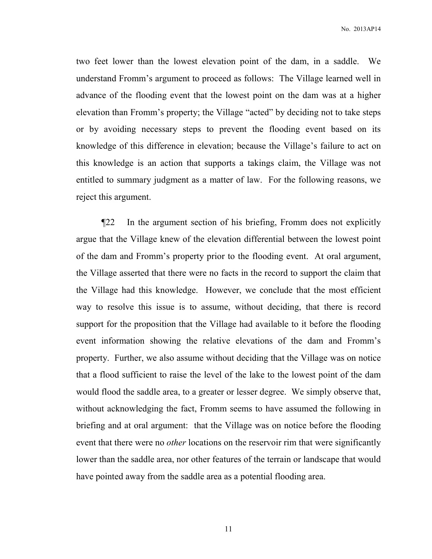No. 2013AP14

two feet lower than the lowest elevation point of the dam, in a saddle. We understand Fromm's argument to proceed as follows: The Village learned well in advance of the flooding event that the lowest point on the dam was at a higher elevation than Fromm's property; the Village "acted" by deciding not to take steps or by avoiding necessary steps to prevent the flooding event based on its knowledge of this difference in elevation; because the Village's failure to act on this knowledge is an action that supports a takings claim, the Village was not entitled to summary judgment as a matter of law. For the following reasons, we reject this argument.

¶22 In the argument section of his briefing, Fromm does not explicitly argue that the Village knew of the elevation differential between the lowest point of the dam and Fromm's property prior to the flooding event. At oral argument, the Village asserted that there were no facts in the record to support the claim that the Village had this knowledge. However, we conclude that the most efficient way to resolve this issue is to assume, without deciding, that there is record support for the proposition that the Village had available to it before the flooding event information showing the relative elevations of the dam and Fromm's property. Further, we also assume without deciding that the Village was on notice that a flood sufficient to raise the level of the lake to the lowest point of the dam would flood the saddle area, to a greater or lesser degree. We simply observe that, without acknowledging the fact, Fromm seems to have assumed the following in briefing and at oral argument: that the Village was on notice before the flooding event that there were no *other* locations on the reservoir rim that were significantly lower than the saddle area, nor other features of the terrain or landscape that would have pointed away from the saddle area as a potential flooding area.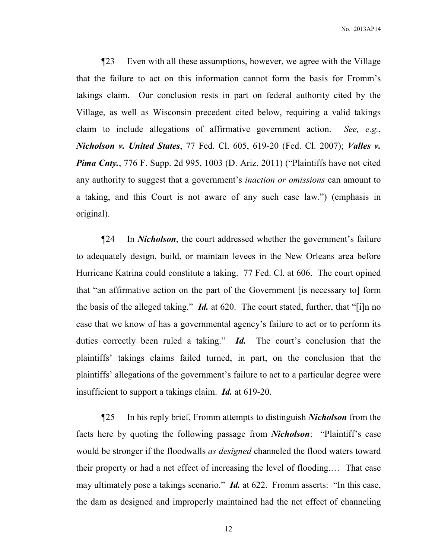¶23 Even with all these assumptions, however, we agree with the Village that the failure to act on this information cannot form the basis for Fromm's takings claim. Our conclusion rests in part on federal authority cited by the Village, as well as Wisconsin precedent cited below, requiring a valid takings claim to include allegations of affirmative government action. *See, e.g.*, *Nicholson v. United States*, 77 Fed. Cl. 605, 619-20 (Fed. Cl. 2007); *Valles v. Pima Cnty.*, 776 F. Supp. 2d 995, 1003 (D. Ariz. 2011) ("Plaintiffs have not cited any authority to suggest that a government's *inaction or omissions* can amount to a taking, and this Court is not aware of any such case law.") (emphasis in original).

¶24 In *Nicholson*, the court addressed whether the government's failure to adequately design, build, or maintain levees in the New Orleans area before Hurricane Katrina could constitute a taking. 77 Fed. Cl. at 606. The court opined that "an affirmative action on the part of the Government [is necessary to] form the basis of the alleged taking." *Id.* at 620. The court stated, further, that "[i]n no case that we know of has a governmental agency's failure to act or to perform its duties correctly been ruled a taking." *Id.* The court's conclusion that the plaintiffs' takings claims failed turned, in part, on the conclusion that the plaintiffs' allegations of the government's failure to act to a particular degree were insufficient to support a takings claim. *Id.* at 619-20.

¶25 In his reply brief, Fromm attempts to distinguish *Nicholson* from the facts here by quoting the following passage from *Nicholson*: "Plaintiff's case would be stronger if the floodwalls *as designed* channeled the flood waters toward their property or had a net effect of increasing the level of flooding.… That case may ultimately pose a takings scenario." *Id.* at 622. Fromm asserts: "In this case, the dam as designed and improperly maintained had the net effect of channeling

12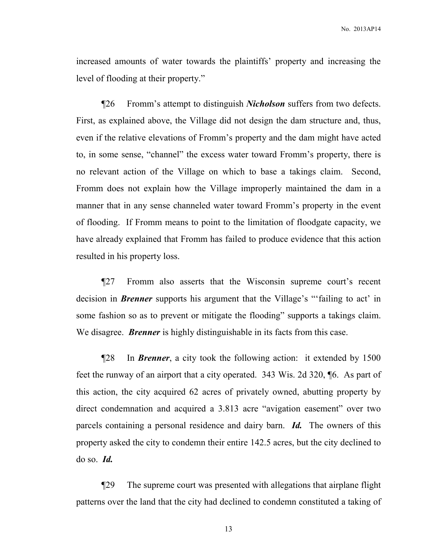increased amounts of water towards the plaintiffs' property and increasing the level of flooding at their property."

¶26 Fromm's attempt to distinguish *Nicholson* suffers from two defects. First, as explained above, the Village did not design the dam structure and, thus, even if the relative elevations of Fromm's property and the dam might have acted to, in some sense, "channel" the excess water toward Fromm's property, there is no relevant action of the Village on which to base a takings claim. Second, Fromm does not explain how the Village improperly maintained the dam in a manner that in any sense channeled water toward Fromm's property in the event of flooding. If Fromm means to point to the limitation of floodgate capacity, we have already explained that Fromm has failed to produce evidence that this action resulted in his property loss.

¶27 Fromm also asserts that the Wisconsin supreme court's recent decision in *Brenner* supports his argument that the Village's "'failing to act' in some fashion so as to prevent or mitigate the flooding" supports a takings claim. We disagree. *Brenner* is highly distinguishable in its facts from this case.

¶28 In *Brenner*, a city took the following action: it extended by 1500 feet the runway of an airport that a city operated. 343 Wis. 2d 320, ¶6. As part of this action, the city acquired 62 acres of privately owned, abutting property by direct condemnation and acquired a 3.813 acre "avigation easement" over two parcels containing a personal residence and dairy barn. *Id.* The owners of this property asked the city to condemn their entire 142.5 acres, but the city declined to do so. *Id.*

¶29 The supreme court was presented with allegations that airplane flight patterns over the land that the city had declined to condemn constituted a taking of

13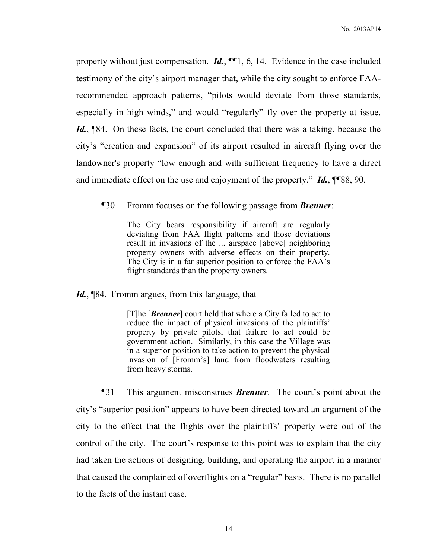property without just compensation. *Id.*, ¶¶1, 6, 14. Evidence in the case included testimony of the city's airport manager that, while the city sought to enforce FAArecommended approach patterns, "pilots would deviate from those standards, especially in high winds," and would "regularly" fly over the property at issue. *Id.*, ¶84. On these facts, the court concluded that there was a taking, because the city's "creation and expansion" of its airport resulted in aircraft flying over the landowner's property "low enough and with sufficient frequency to have a direct and immediate effect on the use and enjoyment of the property." *Id.*, ¶¶88, 90.

¶30 Fromm focuses on the following passage from *Brenner*:

The City bears responsibility if aircraft are regularly deviating from FAA flight patterns and those deviations result in invasions of the ... airspace [above] neighboring property owners with adverse effects on their property. The City is in a far superior position to enforce the FAA's flight standards than the property owners.

Id., [84. Fromm argues, from this language, that

[T]he [*Brenner*] court held that where a City failed to act to reduce the impact of physical invasions of the plaintiffs' property by private pilots, that failure to act could be government action. Similarly, in this case the Village was in a superior position to take action to prevent the physical invasion of [Fromm's] land from floodwaters resulting from heavy storms.

¶31 This argument misconstrues *Brenner*. The court's point about the city's "superior position" appears to have been directed toward an argument of the city to the effect that the flights over the plaintiffs' property were out of the control of the city. The court's response to this point was to explain that the city had taken the actions of designing, building, and operating the airport in a manner that caused the complained of overflights on a "regular" basis. There is no parallel to the facts of the instant case.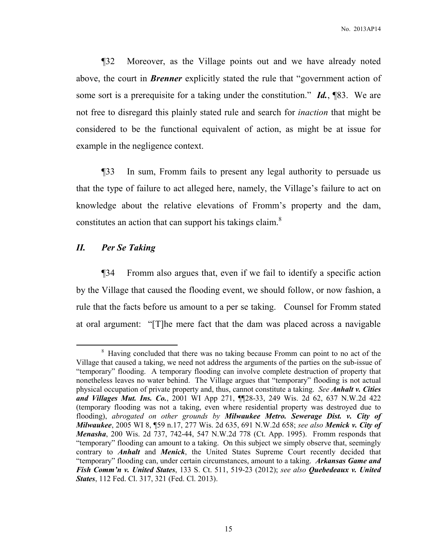¶32 Moreover, as the Village points out and we have already noted above, the court in *Brenner* explicitly stated the rule that "government action of some sort is a prerequisite for a taking under the constitution." *Id.*, ¶83. We are not free to disregard this plainly stated rule and search for *inaction* that might be considered to be the functional equivalent of action, as might be at issue for example in the negligence context.

¶33 In sum, Fromm fails to present any legal authority to persuade us that the type of failure to act alleged here, namely, the Village's failure to act on knowledge about the relative elevations of Fromm's property and the dam, constitutes an action that can support his takings claim.<sup>8</sup>

# *II. Per Se Taking*

 $\overline{a}$ 

¶34 Fromm also argues that, even if we fail to identify a specific action by the Village that caused the flooding event, we should follow, or now fashion, a rule that the facts before us amount to a per se taking. Counsel for Fromm stated at oral argument: "[T]he mere fact that the dam was placed across a navigable

<sup>&</sup>lt;sup>8</sup> Having concluded that there was no taking because Fromm can point to no act of the Village that caused a taking, we need not address the arguments of the parties on the sub-issue of "temporary" flooding. A temporary flooding can involve complete destruction of property that nonetheless leaves no water behind. The Village argues that "temporary" flooding is not actual physical occupation of private property and, thus, cannot constitute a taking. *See Anhalt v. Cities and Villages Mut. Ins. Co.*, 2001 WI App 271, ¶¶28-33, 249 Wis. 2d 62, 637 N.W.2d 422 (temporary flooding was not a taking, even where residential property was destroyed due to flooding), *abrogated on other grounds by Milwaukee Metro. Sewerage Dist. v. City of Milwaukee*, 2005 WI 8, ¶59 n.17, 277 Wis. 2d 635, 691 N.W.2d 658; *see also Menick v. City of Menasha*, 200 Wis. 2d 737, 742-44, 547 N.W.2d 778 (Ct. App. 1995). Fromm responds that "temporary" flooding can amount to a taking. On this subject we simply observe that, seemingly contrary to *Anhalt* and *Menick*, the United States Supreme Court recently decided that "temporary" flooding can, under certain circumstances, amount to a taking. *Arkansas Game and Fish Comm'n v. United States*, 133 S. Ct. 511, 519-23 (2012); *see also Quebedeaux v. United States*, 112 Fed. Cl. 317, 321 (Fed. Cl. 2013).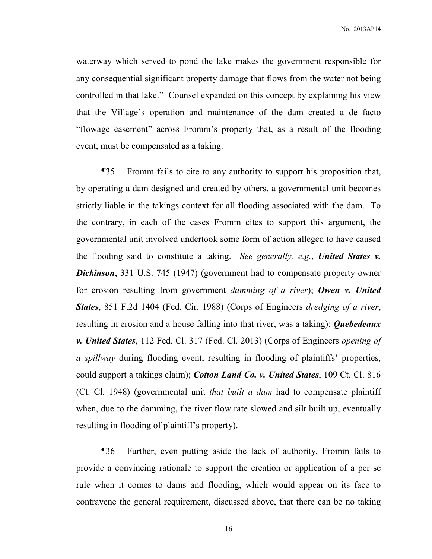No. 2013AP14

waterway which served to pond the lake makes the government responsible for any consequential significant property damage that flows from the water not being controlled in that lake." Counsel expanded on this concept by explaining his view that the Village's operation and maintenance of the dam created a de facto "flowage easement" across Fromm's property that, as a result of the flooding event, must be compensated as a taking.

¶35 Fromm fails to cite to any authority to support his proposition that, by operating a dam designed and created by others, a governmental unit becomes strictly liable in the takings context for all flooding associated with the dam. To the contrary, in each of the cases Fromm cites to support this argument, the governmental unit involved undertook some form of action alleged to have caused the flooding said to constitute a taking. *See generally, e.g.*, *United States v. Dickinson*, 331 U.S. 745 (1947) (government had to compensate property owner for erosion resulting from government *damming of a river*); *Owen v. United States*, 851 F.2d 1404 (Fed. Cir. 1988) (Corps of Engineers *dredging of a river*, resulting in erosion and a house falling into that river, was a taking); *Quebedeaux v. United States*, 112 Fed. Cl. 317 (Fed. Cl. 2013) (Corps of Engineers *opening of a spillway* during flooding event, resulting in flooding of plaintiffs' properties, could support a takings claim); *Cotton Land Co. v. United States*, 109 Ct. Cl. 816 (Ct. Cl. 1948) (governmental unit *that built a dam* had to compensate plaintiff when, due to the damming, the river flow rate slowed and silt built up, eventually resulting in flooding of plaintiff's property).

¶36 Further, even putting aside the lack of authority, Fromm fails to provide a convincing rationale to support the creation or application of a per se rule when it comes to dams and flooding, which would appear on its face to contravene the general requirement, discussed above, that there can be no taking

16